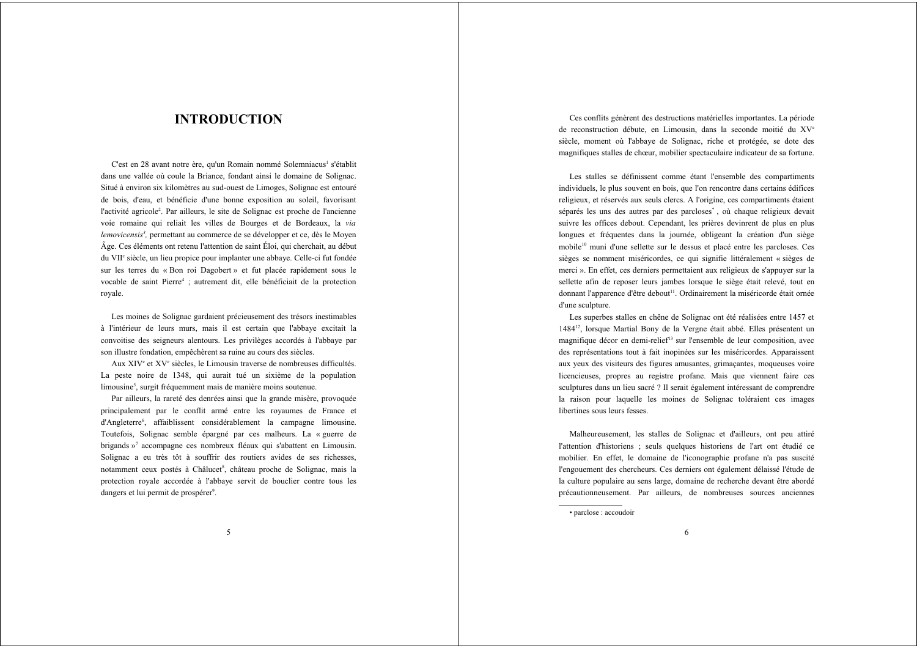## **INTRODUCTION**

C'est en 28 avant notre ère, qu'un Romain nommé Solemniacus<sup>1</sup> s'établit dans une vallée où coule la Briance, fondant ainsi le domaine de Solignac. Situé à environ six kilomètres au sud-ouest de Limoges, Solignac est entouré de bois, d'eau, et bénéficie d'une bonne exposition au soleil, favorisant l'activité agricole<sup>2</sup>. Par ailleurs, le site de Solignac est proche de l'ancienne voie romaine qui reliait les villes de Bourges et de Bordeaux, la via lemovicensis<sup>3</sup>, permettant au commerce de se développer et ce, dès le Moyen Âge. Ces éléments ont retenu l'attention de saint Éloi, qui cherchait, au début du VII<sup>e</sup> siècle, un lieu propice pour implanter une abbaye. Celle-ci fut fondée sur les terres du « Bon roi Dagobert » et fut placée rapidement sous le vocable de saint Pierre<sup>4</sup> ; autrement dit, elle bénéficiait de la protection rovale.

Les moines de Solignac gardaient précieusement des trésors inestimables à l'intérieur de leurs murs, mais il est certain que l'abbaye excitait la convoitise des seigneurs alentours. Les privilèges accordés à l'abbaye par son illustre fondation, empêchèrent sa ruine au cours des siècles.

Aux XIV<sup>e</sup> et XV<sup>e</sup> siècles, le Limousin traverse de nombreuses difficultés. La peste noire de 1348, qui aurait tué un sixième de la population limousine<sup>5</sup>, surgit fréquemment mais de manière moins soutenue.

Par ailleurs, la rareté des denrées ainsi que la grande misère, provoquée principalement par le conflit armé entre les royaumes de France et d'Angleterre<sup>6</sup>, affaiblissent considérablement la campagne limousine. Toutefois, Solignac semble épargné par ces malheurs. La « guerre de brigands »<sup>7</sup> accompagne ces nombreux fléaux qui s'abattent en Limousin. Solignac a eu très tôt à souffrir des routiers avides de ses richesses, notamment ceux postés à Châlucet<sup>8</sup>, château proche de Solignac, mais la protection royale accordée à l'abbaye servit de bouclier contre tous les dangers et lui permit de prospérer<sup>9</sup>.

Ces conflits génèrent des destructions matérielles importantes. La période de reconstruction débute, en Limousin, dans la seconde moitié du XV<sup>e</sup> siècle, moment où l'abbave de Solignac, riche et protégée, se dote des magnifiques stalles de chœur, mobilier spectaculaire indicateur de sa fortune

Les stalles se définissent comme étant l'ensemble des compartiments individuels, le plus souvent en bois, que l'on rencontre dans certains édifices religieux, et réservés aux seuls clercs. A l'origine, ces compartiments étaient séparés les uns des autres par des parcloses<sup>\*</sup>, où chaque religieux devait suivre les offices debout. Cependant, les prières devinrent de plus en plus longues et fréquentes dans la journée, obligeant la création d'un siège mobile<sup>10</sup> muni d'une sellette sur le dessus et placé entre les parcloses. Ces sièges se nomment miséricordes, ce qui signifie littéralement « sièges de merci ». En effet, ces derniers permettaient aux religieux de s'appuyer sur la sellette afin de reposer leurs jambes lorsque le siège était relevé, tout en donnant l'apparence d'être debout<sup>11</sup>. Ordinairement la miséricorde était ornée d'une sculpture.

Les superbes stalles en chêne de Solignac ont été réalisées entre 1457 et 1484<sup>12</sup>, lorsque Martial Bony de la Vergne était abbé. Elles présentent un magnifique décor en demi-relief<sup>13</sup> sur l'ensemble de leur composition, avec des représentations tout à fait inopinées sur les miséricordes. Apparaissent aux yeux des visiteurs des figures amusantes, grimaçantes, moqueuses voire licencieuses, propres au registre profane. Mais que viennent faire ces sculptures dans un lieu sacré ? Il serait également intéressant de comprendre la raison pour laquelle les moines de Solignac toléraient ces images libertines sous leurs fesses

Malheureusement, les stalles de Solignac et d'ailleurs, ont peu attiré l'attention d'historiens ; seuls quelques historiens de l'art ont étudié ce mobilier. En effet, le domaine de l'iconographie profane n'a pas suscité l'engouement des chercheurs. Ces derniers ont également délaissé l'étude de la culture populaire au sens large, domaine de recherche devant être abordé précautionneusement. Par ailleurs, de nombreuses sources anciennes

<sup>•</sup> parclose : accoudoir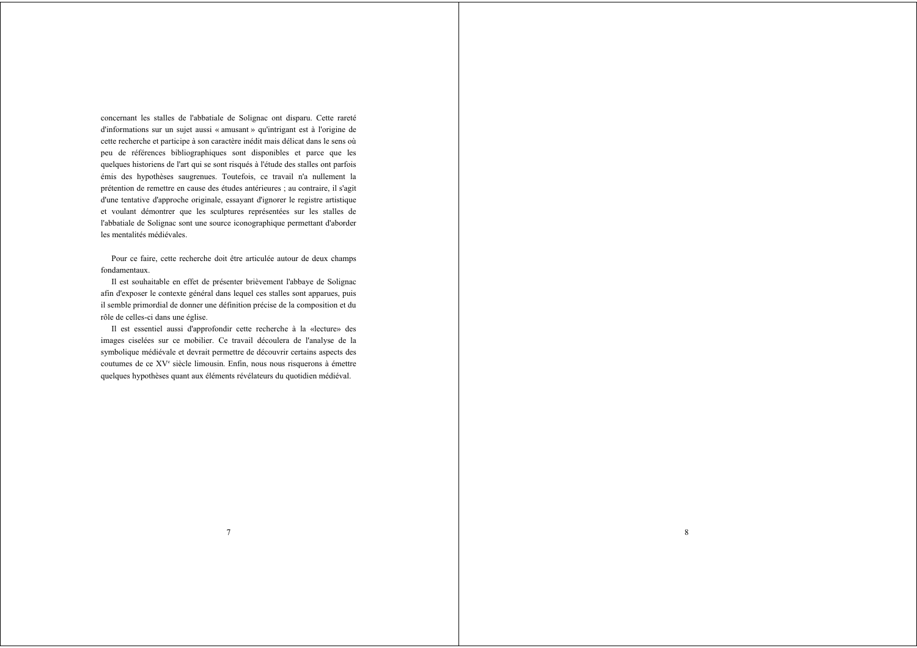concernant les stalles de l'abbatiale de Solignac ont disparu. Cette rareté d'informations sur un sujet aussi « amusant » qu'intrigant est à l'origine de cette recherche et participe à son caractère inédit mais délicat dans le sens où peu de références bibliographiques sont disponibles et parce que les quelques historiens de l'art qui se sont risqués à l'étude des stalles ont parfois émis des hypothèses saugrenues. Toutefois, ce travail n'a nullement la prétention de remettre en cause des études antérieures ; au contraire, il s'agit d'une tentative d'approche originale, essayant d'ignorer le registre artistique et voulant démontrer que les sculptures représentées sur les stalles de l'abbatiale de Solignac sont une source iconographique permettant d'aborder les mentalités médiévales.

Pour ce faire, cette recherche doit être articulée autour de deux champs fondamentaux.

Il est souhaitable en effet de présenter brièvement l'abbaye de Solignac afin d'exposer le contexte général dans lequel ces stalles sont apparues, puis il semble primordial de donner une définition précise de la composition et du rôle de celles-ci dans une église.

Il est essentiel aussi d'approfondir cette recherche à la «lecture» des images ciselées sur ce mobilier. Ce travail découlera de l'analyse de la symbolique médiévale et devrait permettre de découvrir certains aspects des coutumes de ce XV<sup>e</sup> siècle limousin. Enfin, nous nous risquerons à émettre quelques hypothèses quant aux éléments révélateurs du quotidien médiéval.

 $\boldsymbol{7}$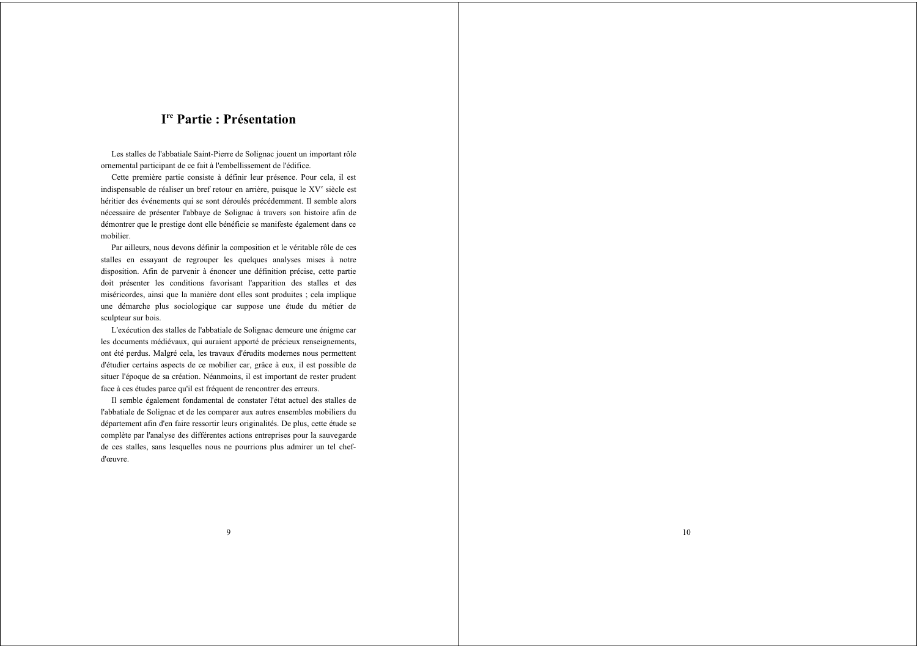# I<sup>re</sup> Partie : Présentation

Les stalles de l'abbatiale Saint-Pierre de Solignac jouent un important rôle ornemental participant de ce fait à l'embellissement de l'édifice.

Cette première partie consiste à définir leur présence. Pour cela, il est indispensable de réaliser un bref retour en arrière, puisque le XV<sup>e</sup> siècle est héritier des événements qui se sont déroulés précédemment. Il semble alors nécessaire de présenter l'abbaye de Solignac à travers son histoire afin de démontrer que le prestige dont elle bénéficie se manifeste également dans ce mobilier.

Par ailleurs, nous devons définir la composition et le véritable rôle de ces stalles en essayant de regrouper les quelques analyses mises à notre disposition. Afin de parvenir à énoncer une définition précise, cette partie doit présenter les conditions favorisant l'apparition des stalles et des miséricordes, ainsi que la manière dont elles sont produites ; cela implique une démarche plus sociologique car suppose une étude du métier de sculpteur sur bois.

L'exécution des stalles de l'abbatiale de Solignac demeure une énigme car les documents médiévaux, qui auraient apporté de précieux renseignements, ont été perdus. Malgré cela, les travaux d'érudits modernes nous permettent d'étudier certains aspects de ce mobilier car, grâce à eux, il est possible de situer l'époque de sa création. Néanmoins, il est important de rester prudent face à ces études parce qu'il est fréquent de rencontrer des erreurs.

Il semble également fondamental de constater l'état actuel des stalles de l'abbatiale de Solignac et de les comparer aux autres ensembles mobiliers du département afin d'en faire ressortir leurs originalités. De plus, cette étude se complète par l'analyse des différentes actions entreprises pour la sauvegarde de ces stalles, sans lesquelles nous ne pourrions plus admirer un tel chefd'œuvre.

10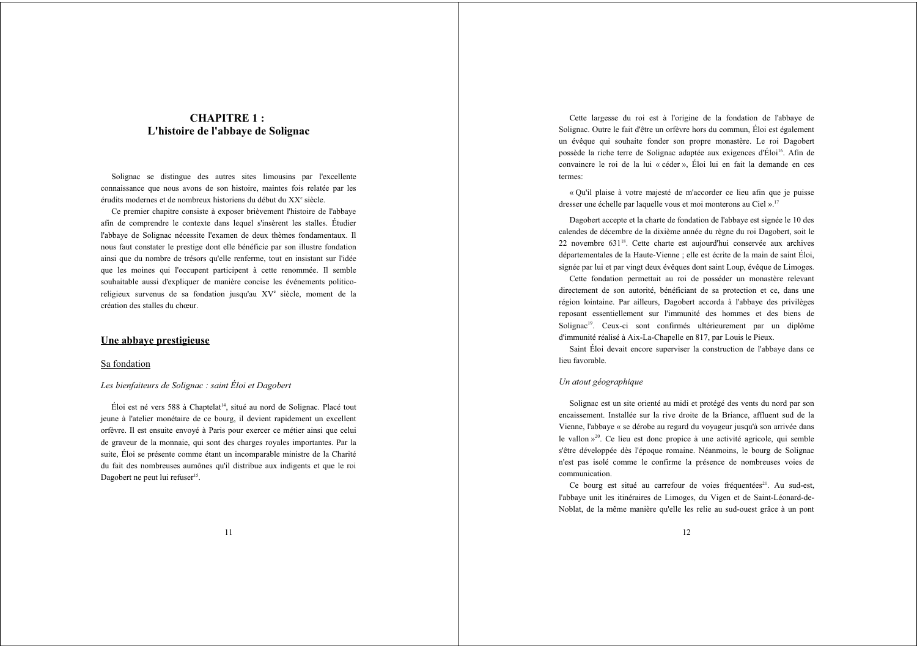### **CHAPITRE 1:** L'histoire de l'abbave de Solignac

Solignac se distingue des autres sites limousins par l'excellente connaissance que nous avons de son histoire, maintes fois relatée par les érudits modernes et de nombreux historiens du début du XX<sup>e</sup> siècle.

Ce premier chapitre consiste à exposer brièvement l'histoire de l'abbaye afin de comprendre le contexte dans lequel s'insèrent les stalles. Étudier l'abbaye de Solignac nécessite l'examen de deux thèmes fondamentaux. Il nous faut constater le prestige dont elle bénéficie par son illustre fondation ainsi que du nombre de trésors qu'elle renferme, tout en insistant sur l'idée que les moines qui l'occupent participent à cette renommée. Il semble souhaitable aussi d'expliquer de manière concise les événements politicoreligieux survenus de sa fondation jusqu'au XV<sup>e</sup> siècle, moment de la création des stalles du chœur

#### Une abbave prestigieuse

#### Sa fondation

#### Les bienfaiteurs de Solignac : saint Éloi et Dagobert

Éloi est né vers 588 à Chaptelat<sup>14</sup>, situé au nord de Solignac. Placé tout jeune à l'atelier monétaire de ce bourg, il devient rapidement un excellent orfèvre. Il est ensuite envoyé à Paris pour exercer ce métier ainsi que celui de graveur de la monnaie, qui sont des charges royales importantes. Par la suite, Éloi se présente comme étant un incomparable ministre de la Charité du fait des nombreuses aumônes qu'il distribue aux indigents et que le roi Dagobert ne peut lui refuser<sup>15</sup>.

Cette largesse du roi est à l'origine de la fondation de l'abbaye de Solignac. Outre le fait d'être un orfèvre hors du commun. Éloi est également un évêque qui souhaite fonder son propre monastère. Le roi Dagobert possède la riche terre de Solignac adaptée aux exigences d'Éloi<sup>16</sup>. Afin de convaincre le roi de la lui « céder ». Éloi lui en fait la demande en ces termes:

« Qu'il plaise à votre majesté de m'accorder ce lieu afin que je puisse dresser une échelle par laquelle vous et moi monterons au Ciel ».<sup>17</sup>

Dagobert accepte et la charte de fondation de l'abbaye est signée le 10 des calendes de décembre de la dixième année du règne du roi Dagobert, soit le 22 novembre 631<sup>18</sup>. Cette charte est aujourd'hui conservée aux archives départementales de la Haute-Vienne ; elle est écrite de la main de saint Éloi, signée par lui et par vingt deux évêques dont saint Loup, évêque de Limoges.

Cette fondation permettait au roi de posséder un monastère relevant directement de son autorité, bénéficiant de sa protection et ce, dans une région lointaine. Par ailleurs, Dagobert accorda à l'abbaye des privilèges reposant essentiellement sur l'immunité des hommes et des biens de Solignac<sup>19</sup>. Ceux-ci sont confirmés ultérieurement par un diplôme d'immunité réalisé à Aix-La-Chapelle en 817, par Louis le Pieux.

Saint Éloi devait encore superviser la construction de l'abbaye dans ce lieu favorable.

#### Un atout géographique

Solignac est un site orienté au midi et protégé des vents du nord par son encaissement. Installée sur la rive droite de la Briance, affluent sud de la Vienne, l'abbaye « se dérobe au regard du voyageur jusqu'à son arrivée dans le vallon  $y^{20}$ . Ce lieu est donc propice à une activité agricole, qui semble s'être développée dès l'époque romaine. Néanmoins, le bourg de Solignac n'est pas isolé comme le confirme la présence de nombreuses voies de communication.

Ce bourg est situé au carrefour de voies fréquentées<sup>21</sup>. Au sud-est, l'abbaye unit les itinéraires de Limoges, du Vigen et de Saint-Léonard-de-Noblat, de la même manière qu'elle les relie au sud-ouest grâce à un pont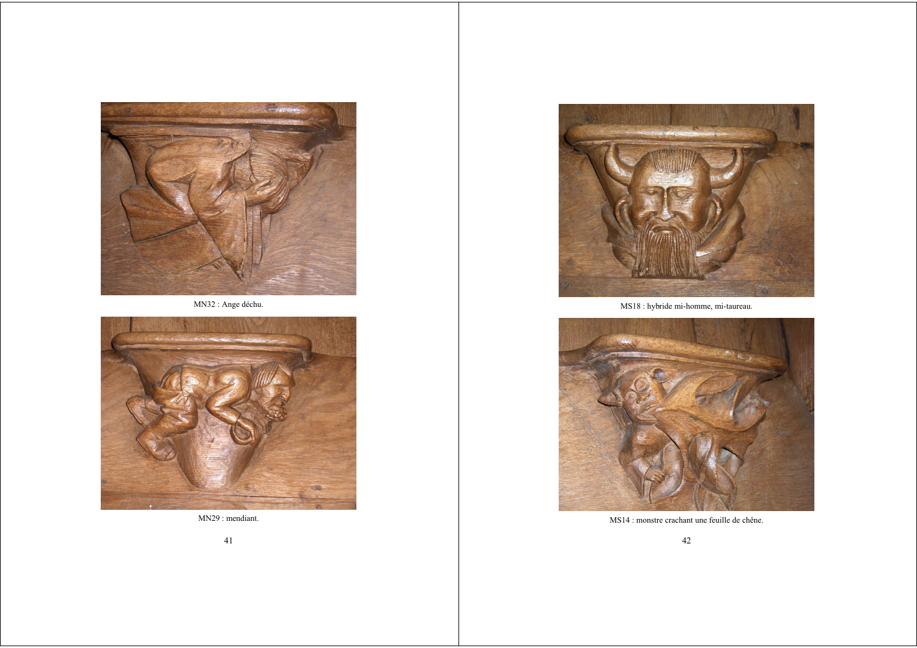

MN32 : Ange déchu.



MN29 : mendiant. 41



MS18 : hybride mi-homme, mi-taureau.



MS14 : monstre crachant une feuille de chêne.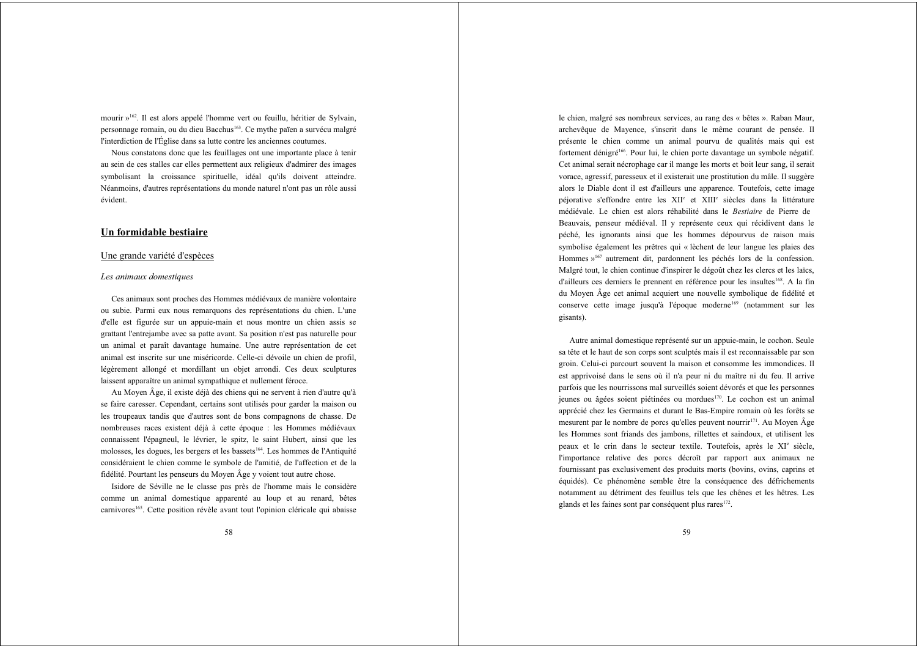mourir »<sup>162</sup>. Il est alors appelé l'homme vert ou feuillu, héritier de Sylvain, personnage romain, ou du dieu Bacchus<sup>163</sup>. Ce mythe païen a survécu malgré l'interdiction de l'Église dans sa lutte contre les anciennes coutumes.

Nous constatons donc que les feuillages ont une importante place à tenir au sein de ces stalles car elles permettent aux religieux d'admirer des images symbolisant la croissance spirituelle, idéal qu'ils doivent atteindre, Néanmoins, d'autres représentations du monde naturel n'ont pas un rôle aussi évident.

### Un formidable bestiaire

#### Une grande variété d'espèces

#### Les animaux domestiques

Ces animaux sont proches des Hommes médiévaux de manière volontaire ou subie. Parmi eux nous remarquons des représentations du chien. L'une d'elle est figurée sur un appuie-main et nous montre un chien assis se grattant l'entrejambe avec sa patte avant. Sa position n'est pas naturelle pour un animal et paraît davantage humaine. Une autre représentation de cet animal est inscrite sur une miséricorde. Celle-ci dévoile un chien de profil, légèrement allongé et mordillant un objet arrondi. Ces deux sculptures laissent apparaître un animal sympathique et nullement féroce.

Au Moyen Âge, il existe déjà des chiens qui ne servent à rien d'autre qu'à se faire caresser. Cependant, certains sont utilisés pour garder la maison ou les troupeaux tandis que d'autres sont de bons compagnons de chasse. De nombreuses races existent déjà à cette époque : les Hommes médiévaux connaissent l'épagneul, le lévrier, le spitz, le saint Hubert, ainsi que les molosses, les dogues, les bergers et les bassets<sup>164</sup>. Les hommes de l'Antiquité considéraient le chien comme le symbole de l'amitié, de l'affection et de la fidélité. Pourtant les penseurs du Moyen Âge y voient tout autre chose.

Isidore de Séville ne le classe pas près de l'homme mais le considère comme un animal domestique apparenté au loup et au renard, bêtes carnivores<sup>165</sup>. Cette position révèle avant tout l'opinion cléricale qui abaisse

le chien, malgré ses nombreux services, au rang des « bêtes ». Raban Maur, archevêque de Mayence, s'inscrit dans le même courant de pensée. Il présente le chien comme un animal pourvu de qualités mais qui est fortement dénigré<sup>166</sup>. Pour lui, le chien porte davantage un symbole négatif. Cet animal serait nécrophage car il mange les morts et boit leur sang, il serait vorace, agressif, paresseux et il existerait une prostitution du mâle. Il suggère alors le Diable dont il est d'ailleurs une apparence. Toutefois, cette image péjorative s'effondre entre les XII<sup>e</sup> et XIII<sup>e</sup> siècles dans la littérature médiévale. Le chien est alors réhabilité dans le Bestiaire de Pierre de Beauvais, penseur médiéval. Il y représente ceux qui récidivent dans le péché, les ignorants ainsi que les hommes dépourvus de raison mais symbolise également les prêtres qui « lèchent de leur langue les plaies des Hommes »<sup>167</sup> autrement dit, pardonnent les péchés lors de la confession. Malgré tout, le chien continue d'inspirer le dégoût chez les clercs et les laïcs, d'ailleurs ces derniers le prennent en référence pour les insultes<sup>168</sup>. A la fin du Moyen Âge cet animal acquiert une nouvelle symbolique de fidélité et conserve cette image jusqu'à l'époque moderne<sup>169</sup> (notamment sur les gisants).

Autre animal domestique représenté sur un appuie-main, le cochon. Seule sa tête et le haut de son corps sont sculptés mais il est reconnaissable par son groin. Celui-ci parcourt souvent la maison et consomme les immondices. Il est apprivoisé dans le sens où il n'a peur ni du maître ni du feu. Il arrive parfois que les nourrissons mal surveillés soient dévorés et que les personnes jeunes ou âgées soient piétinées ou mordues<sup>170</sup>. Le cochon est un animal apprécié chez les Germains et durant le Bas-Empire romain où les forêts se mesurent par le nombre de porcs qu'elles peuvent nourrir<sup>171</sup>. Au Moyen Âge les Hommes sont friands des jambons, rillettes et saindoux, et utilisent les peaux et le crin dans le secteur textile. Toutefois, après le XI<sup>e</sup> siècle, l'importance relative des porcs décroît par rapport aux animaux ne fournissant pas exclusivement des produits morts (bovins, ovins, caprins et équidés). Ce phénomène semble être la conséquence des défrichements notamment au détriment des feuillus tels que les chênes et les hêtres. Les glands et les faines sont par conséquent plus rares<sup>172</sup>.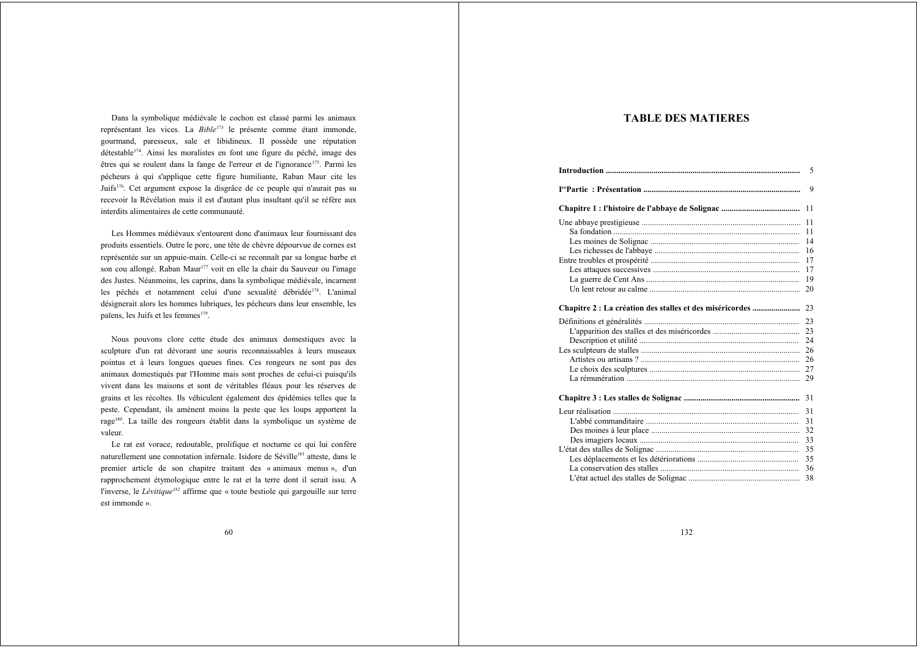Dans la symbolique médiévale le cochon est classé parmi les animaux représentant les vices. La  $Bible^{173}$  le présente comme étant immonde, gourmand, paresseux, sale et libidineux. Il possède une réputation détestable<sup>174</sup>. Ainsi les moralistes en font une figure du péché, image des êtres qui se roulent dans la fange de l'erreur et de l'ignorance<sup>175</sup>. Parmi les pécheurs à qui s'applique cette figure humiliante, Raban Maur cite les Juifs<sup>176</sup>. Cet argument expose la disgrâce de ce peuple qui n'aurait pas su recevoir la Révélation mais il est d'autant plus insultant qu'il se réfère aux interdits alimentaires de cette communauté.

Les Hommes médiévaux s'entourent donc d'animaux leur fournissant des produits essentiels. Outre le porc, une tête de chèvre dépourvue de cornes est représentée sur un appuie-main. Celle-ci se reconnaît par sa longue barbe et son cou allongé. Raban Maur<sup>177</sup> voit en elle la chair du Sauveur ou l'image des Justes. Néanmoins, les caprins, dans la symbolique médiévale, incarnent les péchés et notamment celui d'une sexualité débridée<sup>178</sup>. L'animal désignerait alors les hommes lubriques, les pécheurs dans leur ensemble, les païens, les Juifs et les femmes<sup>179</sup>.

Nous pouvons clore cette étude des animaux domestiques avec la sculpture d'un rat dévorant une souris reconnaissables à leurs museaux pointus et à leurs longues queues fines. Ces rongeurs ne sont pas des animaux domestiqués par l'Homme mais sont proches de celui-ci puisqu'ils vivent dans les maisons et sont de véritables fléaux pour les réserves de grains et les récoltes. Ils véhiculent également des épidémies telles que la peste. Cependant, ils amènent moins la peste que les loups apportent la rage<sup>180</sup>. La taille des rongeurs établit dans la symbolique un système de valeur.

Le rat est vorace, redoutable, prolifique et nocturne ce qui lui confère naturellement une connotation infernale. Isidore de Séville<sup>181</sup> atteste, dans le premier article de son chapitre traitant des « animaux menus », d'un rapprochement étymologique entre le rat et la terre dont il serait issu. A l'inverse, le *Lévitique*<sup>182</sup> affirme que « toute bestiole qui gargouille sur terre est immonde ».

### **TABLE DES MATIERES**

| 5           |
|-------------|
| $\mathbf Q$ |
|             |
| 11          |
| 11          |
| 14          |
| 16          |
| 17          |
| 17          |
| 19          |
|             |
|             |
|             |
|             |
|             |
|             |
|             |
|             |
|             |
|             |
|             |
| 31          |
|             |
|             |
|             |
| 35          |
| 36          |
| 38          |